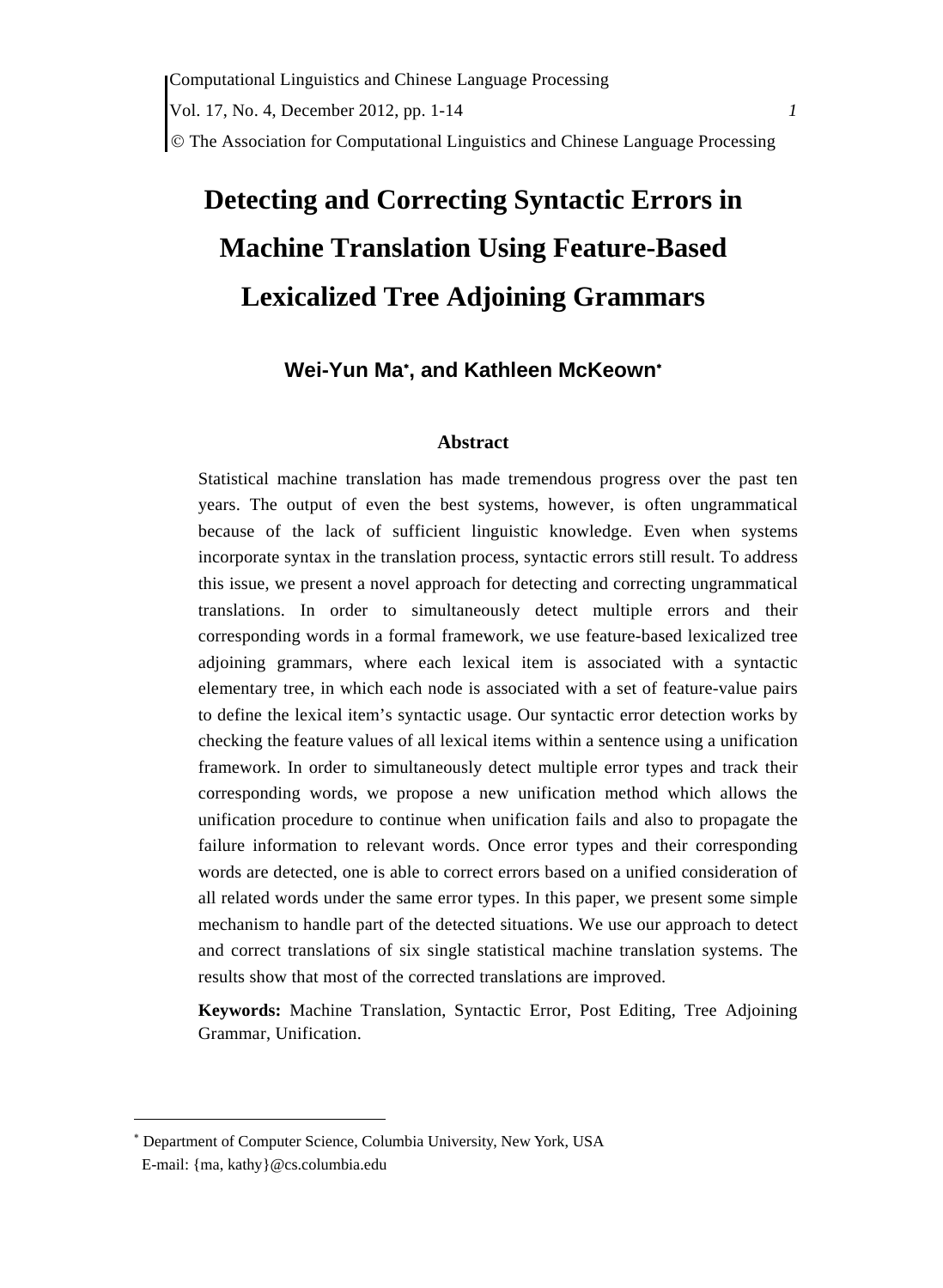# **Detecting and Correcting Syntactic Errors in Machine Translation Using Feature-Based Lexicalized Tree Adjoining Grammars**

# **Wei-Yun Ma**<sup>∗</sup> **, and Kathleen McKeown**<sup>∗</sup>

#### **Abstract**

Statistical machine translation has made tremendous progress over the past ten years. The output of even the best systems, however, is often ungrammatical because of the lack of sufficient linguistic knowledge. Even when systems incorporate syntax in the translation process, syntactic errors still result. To address this issue, we present a novel approach for detecting and correcting ungrammatical translations. In order to simultaneously detect multiple errors and their corresponding words in a formal framework, we use feature-based lexicalized tree adjoining grammars, where each lexical item is associated with a syntactic elementary tree, in which each node is associated with a set of feature-value pairs to define the lexical item's syntactic usage. Our syntactic error detection works by checking the feature values of all lexical items within a sentence using a unification framework. In order to simultaneously detect multiple error types and track their corresponding words, we propose a new unification method which allows the unification procedure to continue when unification fails and also to propagate the failure information to relevant words. Once error types and their corresponding words are detected, one is able to correct errors based on a unified consideration of all related words under the same error types. In this paper, we present some simple mechanism to handle part of the detected situations. We use our approach to detect and correct translations of six single statistical machine translation systems. The results show that most of the corrected translations are improved.

**Keywords:** Machine Translation, Syntactic Error, Post Editing, Tree Adjoining Grammar, Unification.

 $\overline{a}$ 

<sup>∗</sup> Department of Computer Science, Columbia University, New York, USA

E-mail: {ma, kathy}@cs.columbia.edu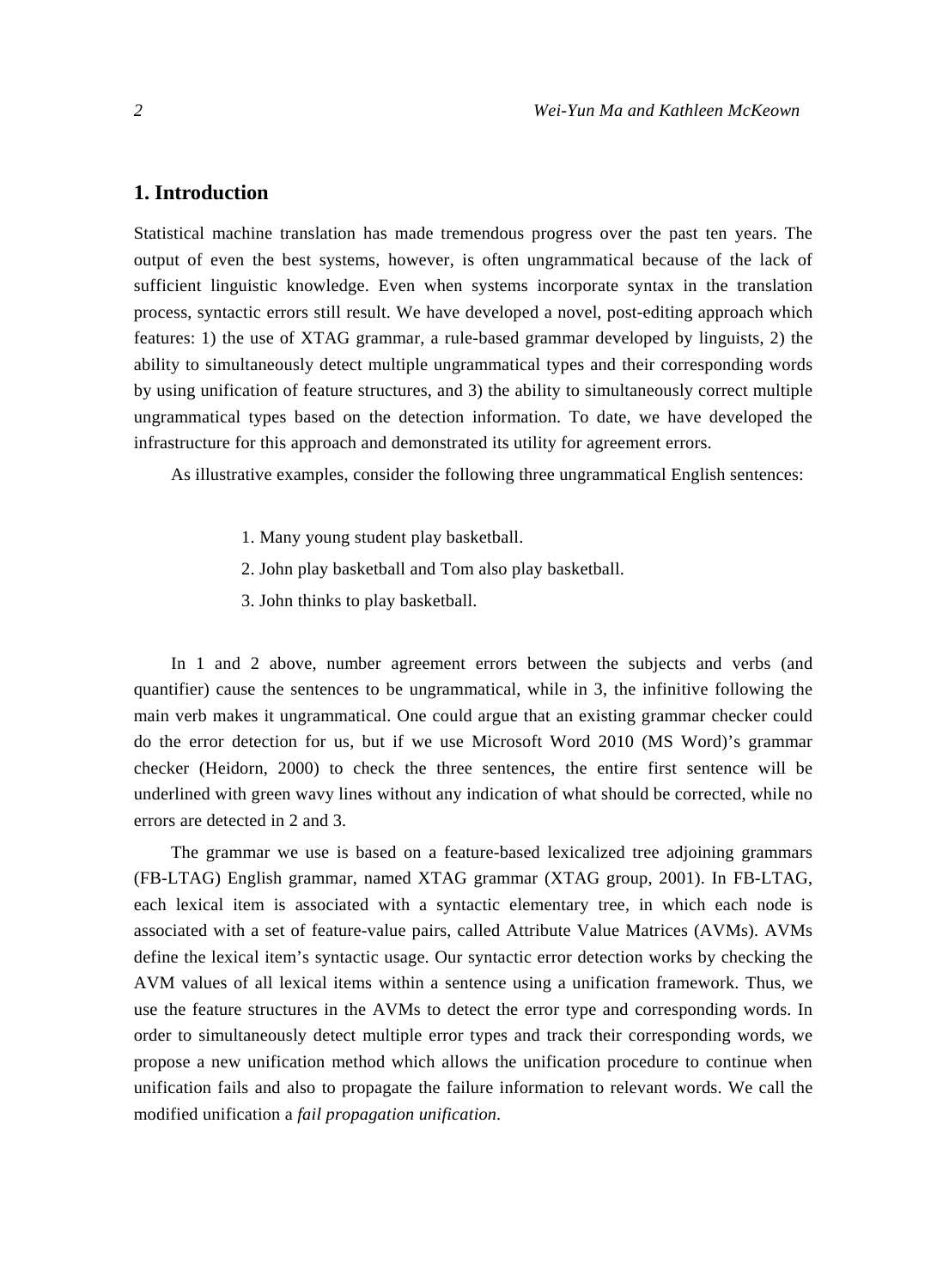## **1. Introduction**

Statistical machine translation has made tremendous progress over the past ten years. The output of even the best systems, however, is often ungrammatical because of the lack of sufficient linguistic knowledge. Even when systems incorporate syntax in the translation process, syntactic errors still result. We have developed a novel, post-editing approach which features: 1) the use of XTAG grammar, a rule-based grammar developed by linguists, 2) the ability to simultaneously detect multiple ungrammatical types and their corresponding words by using unification of feature structures, and 3) the ability to simultaneously correct multiple ungrammatical types based on the detection information. To date, we have developed the infrastructure for this approach and demonstrated its utility for agreement errors.

As illustrative examples, consider the following three ungrammatical English sentences:

- 1. Many young student play basketball.
- 2. John play basketball and Tom also play basketball.
- 3. John thinks to play basketball.

In 1 and 2 above, number agreement errors between the subjects and verbs (and quantifier) cause the sentences to be ungrammatical, while in 3, the infinitive following the main verb makes it ungrammatical. One could argue that an existing grammar checker could do the error detection for us, but if we use Microsoft Word 2010 (MS Word)'s grammar checker (Heidorn, 2000) to check the three sentences, the entire first sentence will be underlined with green wavy lines without any indication of what should be corrected, while no errors are detected in 2 and 3.

The grammar we use is based on a feature-based lexicalized tree adjoining grammars (FB-LTAG) English grammar, named XTAG grammar (XTAG group, 2001). In FB-LTAG, each lexical item is associated with a syntactic elementary tree, in which each node is associated with a set of feature-value pairs, called Attribute Value Matrices (AVMs). AVMs define the lexical item's syntactic usage. Our syntactic error detection works by checking the AVM values of all lexical items within a sentence using a unification framework. Thus, we use the feature structures in the AVMs to detect the error type and corresponding words. In order to simultaneously detect multiple error types and track their corresponding words, we propose a new unification method which allows the unification procedure to continue when unification fails and also to propagate the failure information to relevant words. We call the modified unification a *fail propagation unification*.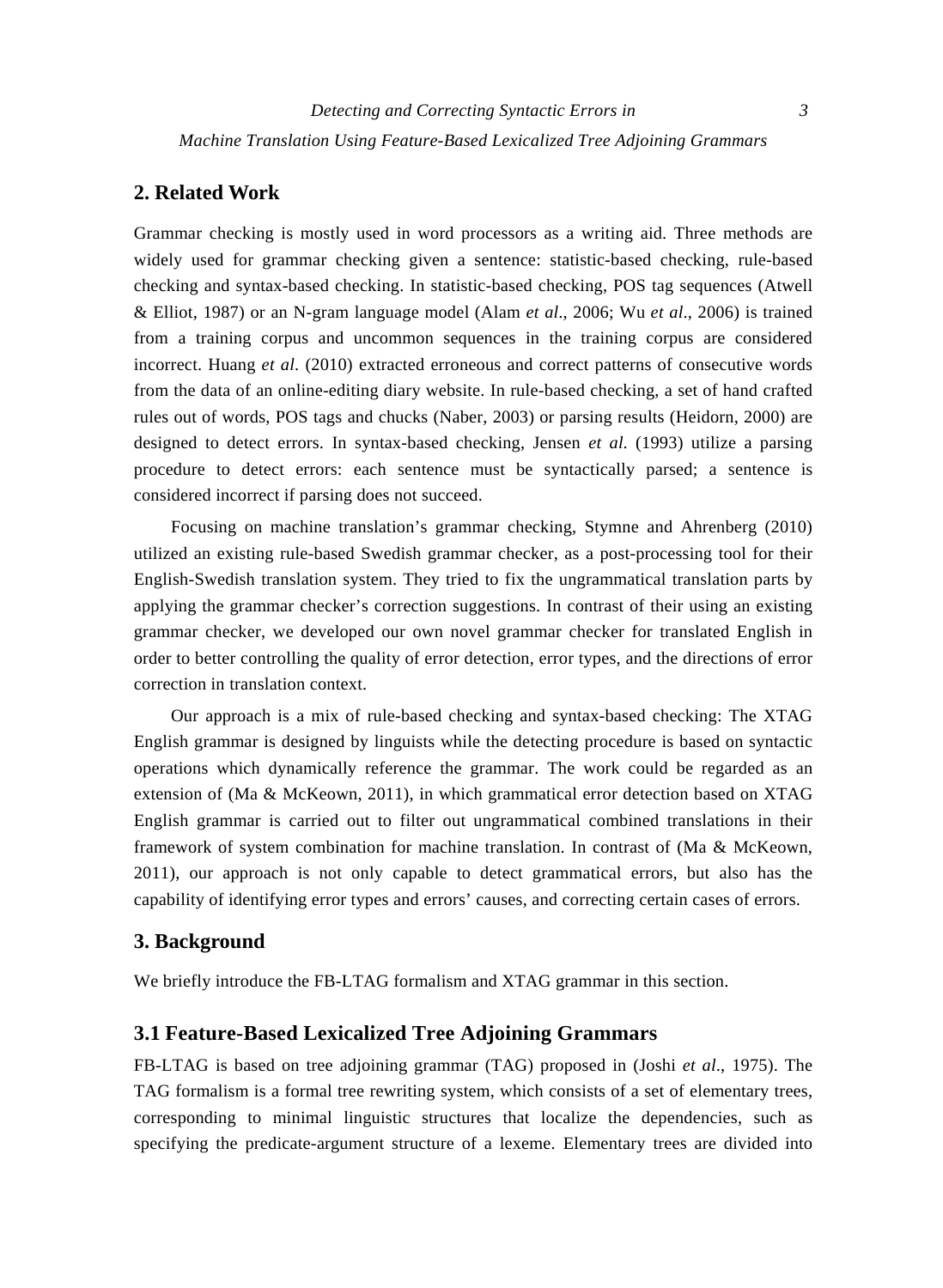*Machine Translation Using Feature-Based Lexicalized Tree Adjoining Grammars* 

# **2. Related Work**

Grammar checking is mostly used in word processors as a writing aid. Three methods are widely used for grammar checking given a sentence: statistic-based checking, rule-based checking and syntax-based checking. In statistic-based checking, POS tag sequences (Atwell & Elliot, 1987) or an N-gram language model (Alam *et al*., 2006; Wu *et al*., 2006) is trained from a training corpus and uncommon sequences in the training corpus are considered incorrect. Huang *et al*. (2010) extracted erroneous and correct patterns of consecutive words from the data of an online-editing diary website. In rule-based checking, a set of hand crafted rules out of words, POS tags and chucks (Naber, 2003) or parsing results (Heidorn, 2000) are designed to detect errors. In syntax-based checking, Jensen *et al*. (1993) utilize a parsing procedure to detect errors: each sentence must be syntactically parsed; a sentence is considered incorrect if parsing does not succeed.

Focusing on machine translation's grammar checking, Stymne and Ahrenberg (2010) utilized an existing rule-based Swedish grammar checker, as a post-processing tool for their English-Swedish translation system. They tried to fix the ungrammatical translation parts by applying the grammar checker's correction suggestions. In contrast of their using an existing grammar checker, we developed our own novel grammar checker for translated English in order to better controlling the quality of error detection, error types, and the directions of error correction in translation context.

Our approach is a mix of rule-based checking and syntax-based checking: The XTAG English grammar is designed by linguists while the detecting procedure is based on syntactic operations which dynamically reference the grammar. The work could be regarded as an extension of (Ma & McKeown, 2011), in which grammatical error detection based on XTAG English grammar is carried out to filter out ungrammatical combined translations in their framework of system combination for machine translation. In contrast of (Ma & McKeown, 2011), our approach is not only capable to detect grammatical errors, but also has the capability of identifying error types and errors' causes, and correcting certain cases of errors.

## **3. Background**

We briefly introduce the FB-LTAG formalism and XTAG grammar in this section.

#### **3.1 Feature-Based Lexicalized Tree Adjoining Grammars**

FB-LTAG is based on tree adjoining grammar (TAG) proposed in (Joshi *et al*., 1975). The TAG formalism is a formal tree rewriting system, which consists of a set of elementary trees, corresponding to minimal linguistic structures that localize the dependencies, such as specifying the predicate-argument structure of a lexeme. Elementary trees are divided into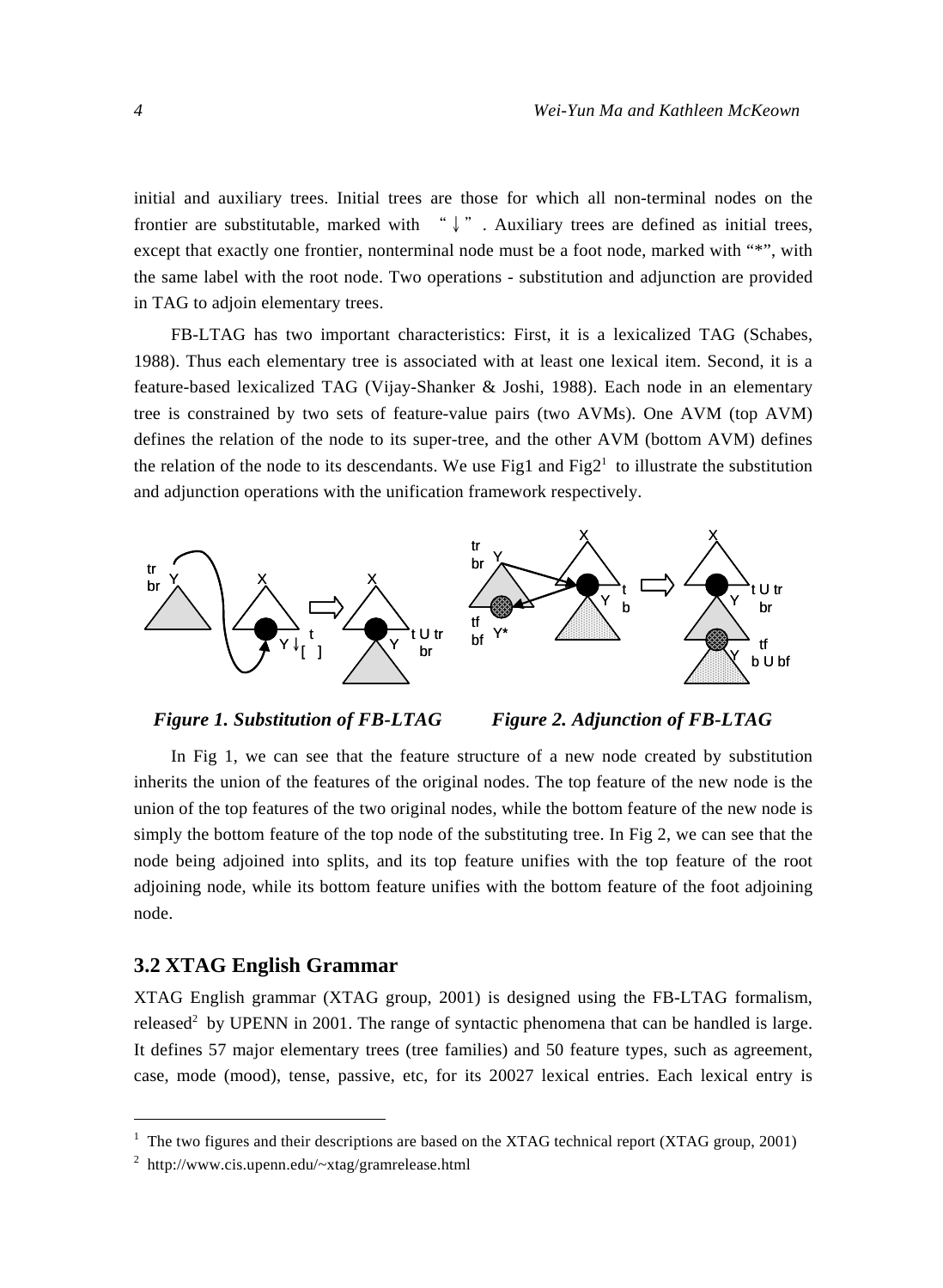initial and auxiliary trees. Initial trees are those for which all non-terminal nodes on the frontier are substitutable, marked with  $\psi$ ". Auxiliary trees are defined as initial trees, except that exactly one frontier, nonterminal node must be a foot node, marked with "\*", with the same label with the root node. Two operations - substitution and adjunction are provided in TAG to adjoin elementary trees.

FB-LTAG has two important characteristics: First, it is a lexicalized TAG (Schabes, 1988). Thus each elementary tree is associated with at least one lexical item. Second, it is a feature-based lexicalized TAG (Vijay-Shanker & Joshi, 1988). Each node in an elementary tree is constrained by two sets of feature-value pairs (two AVMs). One AVM (top AVM) defines the relation of the node to its super-tree, and the other AVM (bottom AVM) defines the relation of the node to its descendants. We use Fig1 and Fig2<sup>1</sup> to illustrate the substitution and adjunction operations with the unification framework respectively.





In Fig 1, we can see that the feature structure of a new node created by substitution inherits the union of the features of the original nodes. The top feature of the new node is the union of the top features of the two original nodes, while the bottom feature of the new node is simply the bottom feature of the top node of the substituting tree. In Fig 2, we can see that the node being adjoined into splits, and its top feature unifies with the top feature of the root adjoining node, while its bottom feature unifies with the bottom feature of the foot adjoining node.

#### **3.2 XTAG English Grammar**

 $\overline{a}$ 

XTAG English grammar (XTAG group, 2001) is designed using the FB-LTAG formalism, released<sup>2</sup> by UPENN in 2001. The range of syntactic phenomena that can be handled is large. It defines 57 major elementary trees (tree families) and 50 feature types, such as agreement, case, mode (mood), tense, passive, etc, for its 20027 lexical entries. Each lexical entry is

 $1$  The two figures and their descriptions are based on the XTAG technical report (XTAG group, 2001)

<sup>2</sup> http://www.cis.upenn.edu/~xtag/gramrelease.html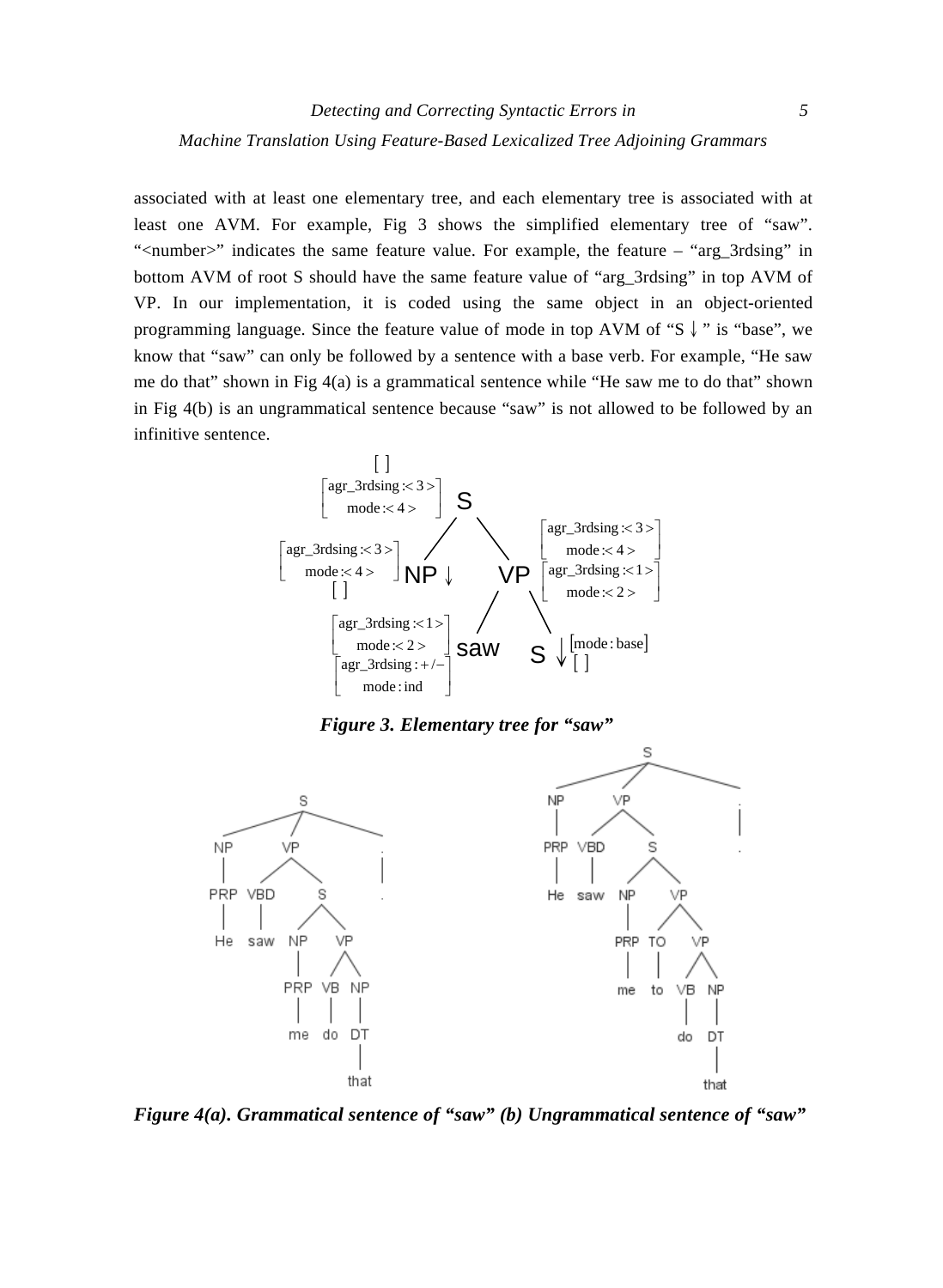associated with at least one elementary tree, and each elementary tree is associated with at least one AVM. For example, Fig 3 shows the simplified elementary tree of "saw". "<number>" indicates the same feature value. For example, the feature – "arg\_3rdsing" in bottom AVM of root S should have the same feature value of "arg\_3rdsing" in top AVM of VP. In our implementation, it is coded using the same object in an object-oriented programming language. Since the feature value of mode in top AVM of "S↓" is "base", we know that "saw" can only be followed by a sentence with a base verb. For example, "He saw me do that" shown in Fig 4(a) is a grammatical sentence while "He saw me to do that" shown in Fig 4(b) is an ungrammatical sentence because "saw" is not allowed to be followed by an infinitive sentence.



*Figure 3. Elementary tree for "saw"* 



*Figure 4(a). Grammatical sentence of "saw" (b) Ungrammatical sentence of "saw"*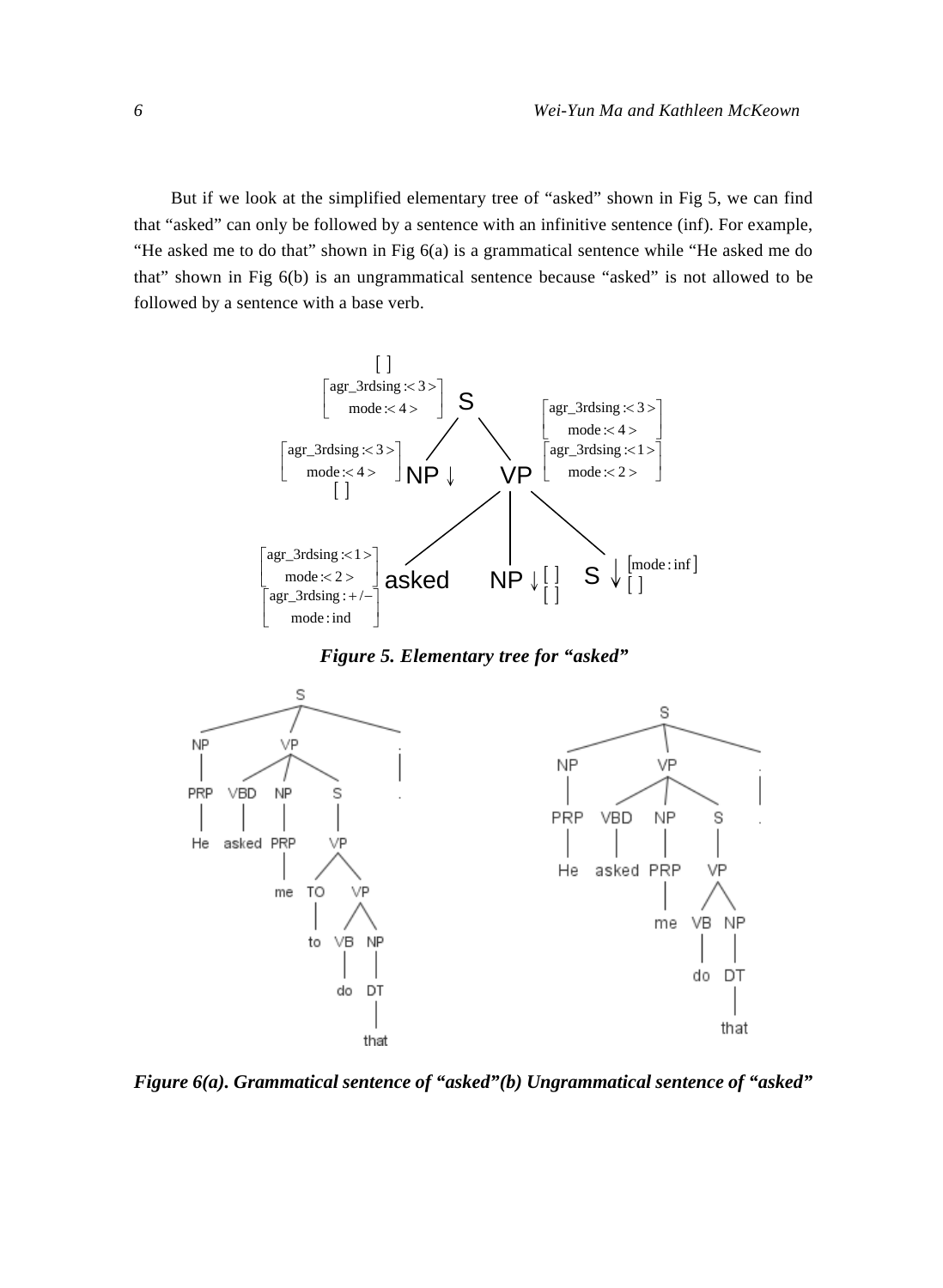But if we look at the simplified elementary tree of "asked" shown in Fig 5, we can find that "asked" can only be followed by a sentence with an infinitive sentence (inf). For example, "He asked me to do that" shown in Fig 6(a) is a grammatical sentence while "He asked me do that" shown in Fig 6(b) is an ungrammatical sentence because "asked" is not allowed to be followed by a sentence with a base verb.



*Figure 5. Elementary tree for "asked"* 



*Figure 6(a). Grammatical sentence of "asked"(b) Ungrammatical sentence of "asked"*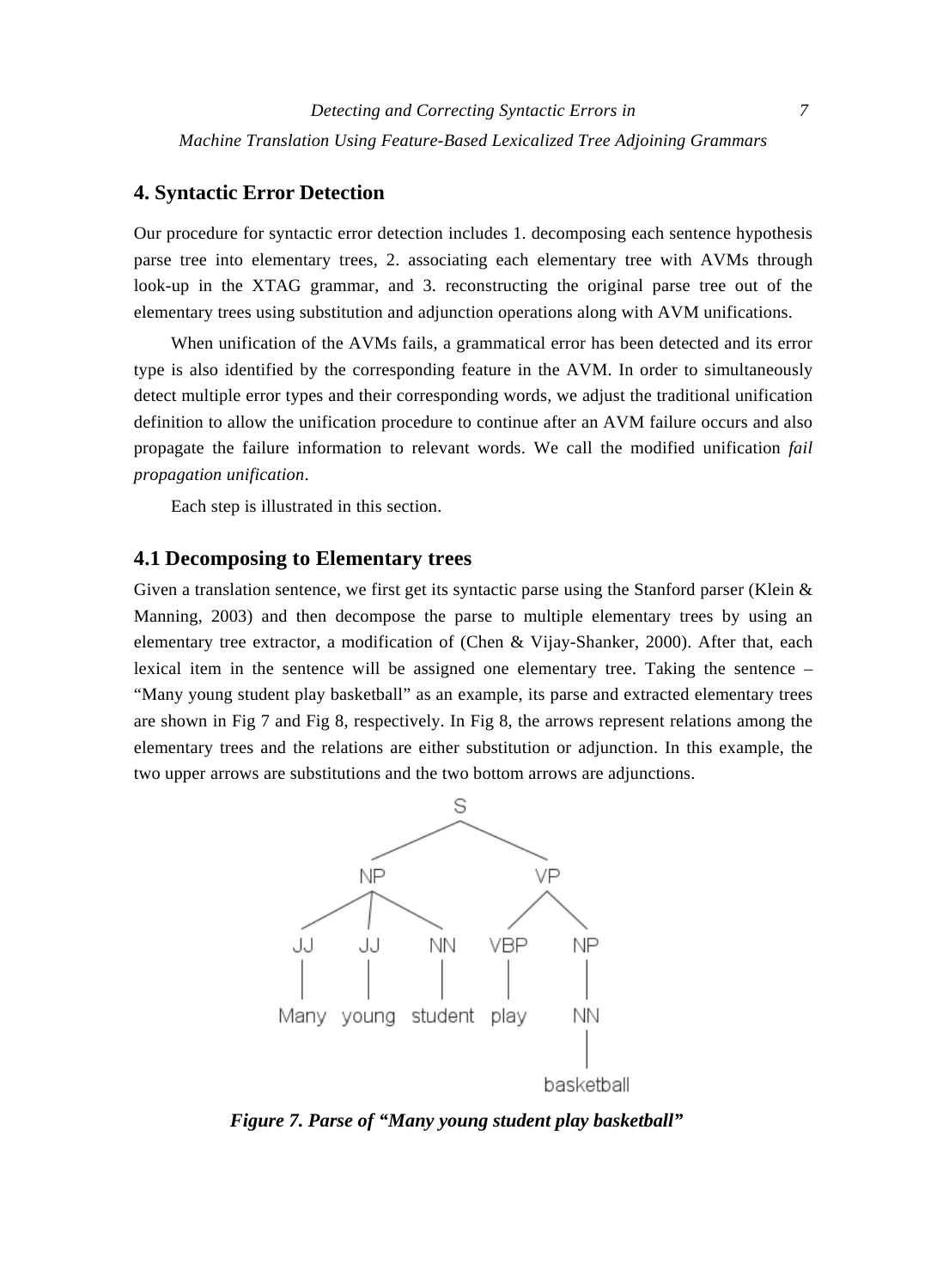## **4. Syntactic Error Detection**

Our procedure for syntactic error detection includes 1. decomposing each sentence hypothesis parse tree into elementary trees, 2. associating each elementary tree with AVMs through look-up in the XTAG grammar, and 3. reconstructing the original parse tree out of the elementary trees using substitution and adjunction operations along with AVM unifications.

When unification of the AVMs fails, a grammatical error has been detected and its error type is also identified by the corresponding feature in the AVM. In order to simultaneously detect multiple error types and their corresponding words, we adjust the traditional unification definition to allow the unification procedure to continue after an AVM failure occurs and also propagate the failure information to relevant words. We call the modified unification *fail propagation unification*.

Each step is illustrated in this section.

#### **4.1 Decomposing to Elementary trees**

Given a translation sentence, we first get its syntactic parse using the Stanford parser (Klein & Manning, 2003) and then decompose the parse to multiple elementary trees by using an elementary tree extractor, a modification of (Chen & Vijay-Shanker, 2000). After that, each lexical item in the sentence will be assigned one elementary tree. Taking the sentence – "Many young student play basketball" as an example, its parse and extracted elementary trees are shown in Fig 7 and Fig 8, respectively. In Fig 8, the arrows represent relations among the elementary trees and the relations are either substitution or adjunction. In this example, the two upper arrows are substitutions and the two bottom arrows are adjunctions.



*Figure 7. Parse of "Many young student play basketball"*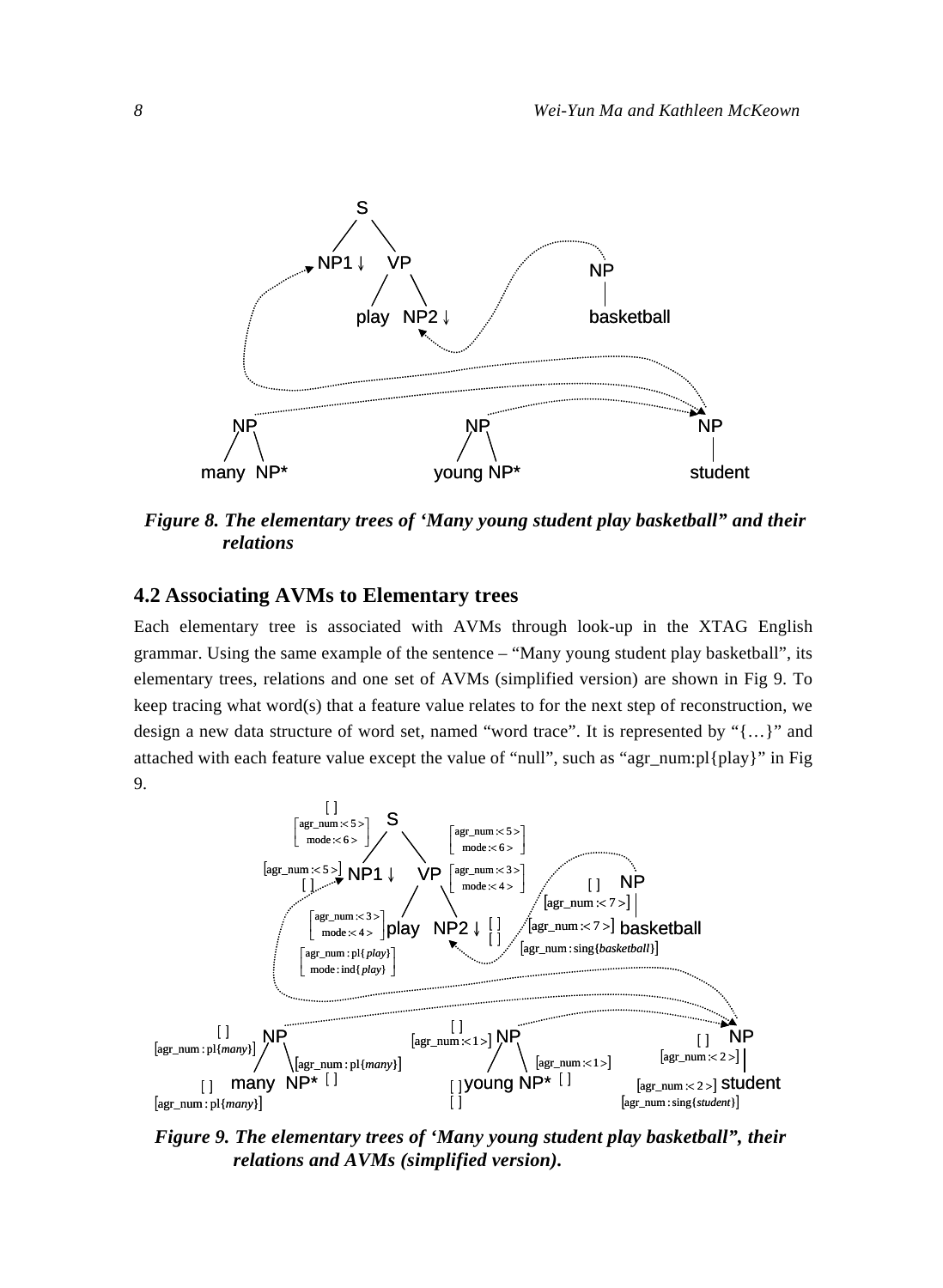

*Figure 8. The elementary trees of 'Many young student play basketball" and their relations* 

# **4.2 Associating AVMs to Elementary trees**

Each elementary tree is associated with AVMs through look-up in the XTAG English grammar. Using the same example of the sentence – "Many young student play basketball", its elementary trees, relations and one set of AVMs (simplified version) are shown in Fig 9. To keep tracing what word(s) that a feature value relates to for the next step of reconstruction, we design a new data structure of word set, named "word trace". It is represented by "{…}" and attached with each feature value except the value of "null", such as "agr\_num:pl{play}" in Fig 9.



*Figure 9. The elementary trees of 'Many young student play basketball", their relations and AVMs (simplified version).*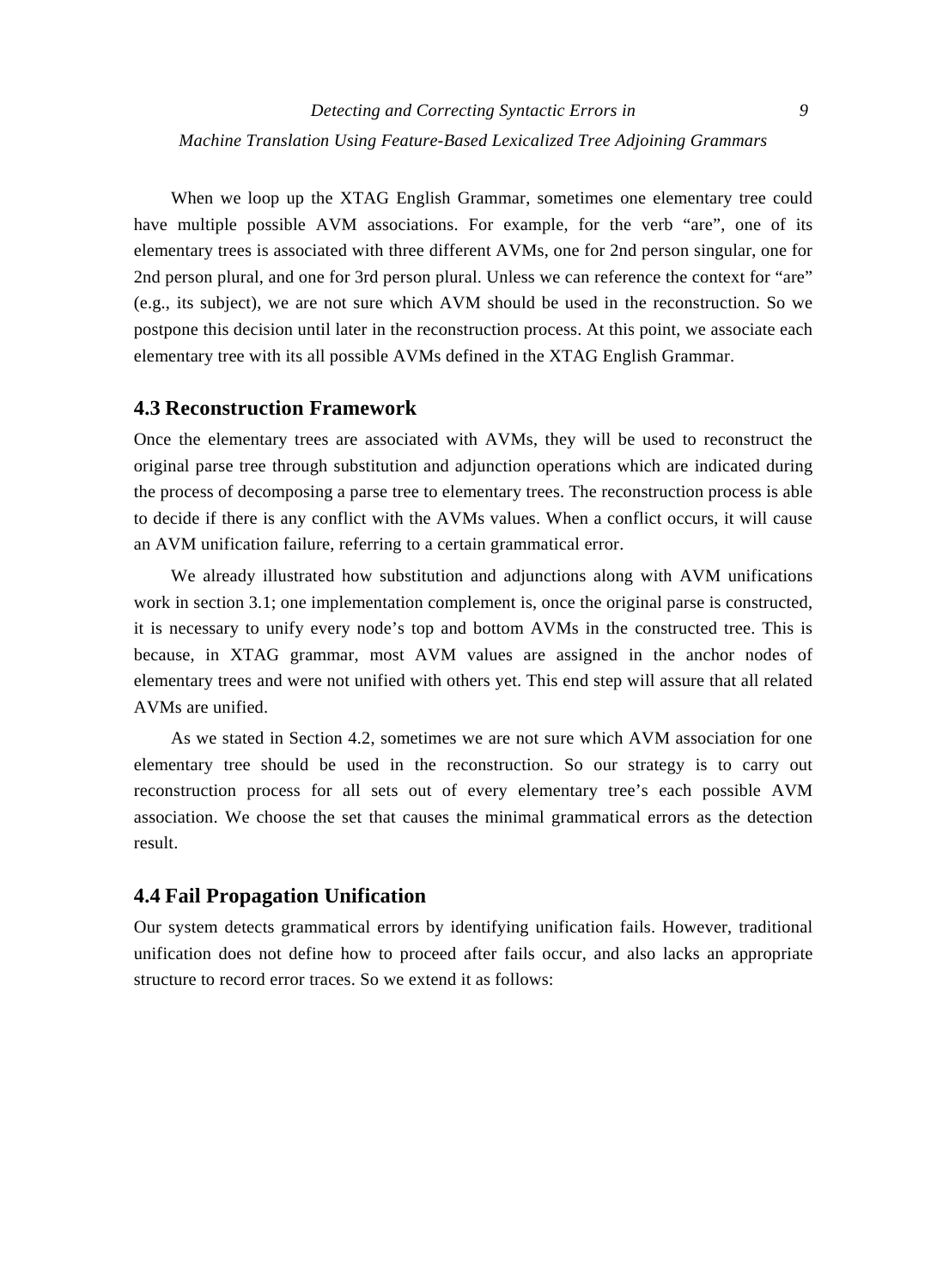When we loop up the XTAG English Grammar, sometimes one elementary tree could have multiple possible AVM associations. For example, for the verb "are", one of its elementary trees is associated with three different AVMs, one for 2nd person singular, one for 2nd person plural, and one for 3rd person plural. Unless we can reference the context for "are" (e.g., its subject), we are not sure which AVM should be used in the reconstruction. So we postpone this decision until later in the reconstruction process. At this point, we associate each elementary tree with its all possible AVMs defined in the XTAG English Grammar.

## **4.3 Reconstruction Framework**

Once the elementary trees are associated with AVMs, they will be used to reconstruct the original parse tree through substitution and adjunction operations which are indicated during the process of decomposing a parse tree to elementary trees. The reconstruction process is able to decide if there is any conflict with the AVMs values. When a conflict occurs, it will cause an AVM unification failure, referring to a certain grammatical error.

We already illustrated how substitution and adjunctions along with AVM unifications work in section 3.1; one implementation complement is, once the original parse is constructed, it is necessary to unify every node's top and bottom AVMs in the constructed tree. This is because, in XTAG grammar, most AVM values are assigned in the anchor nodes of elementary trees and were not unified with others yet. This end step will assure that all related AVMs are unified.

As we stated in Section 4.2, sometimes we are not sure which AVM association for one elementary tree should be used in the reconstruction. So our strategy is to carry out reconstruction process for all sets out of every elementary tree's each possible AVM association. We choose the set that causes the minimal grammatical errors as the detection result.

## **4.4 Fail Propagation Unification**

Our system detects grammatical errors by identifying unification fails. However, traditional unification does not define how to proceed after fails occur, and also lacks an appropriate structure to record error traces. So we extend it as follows: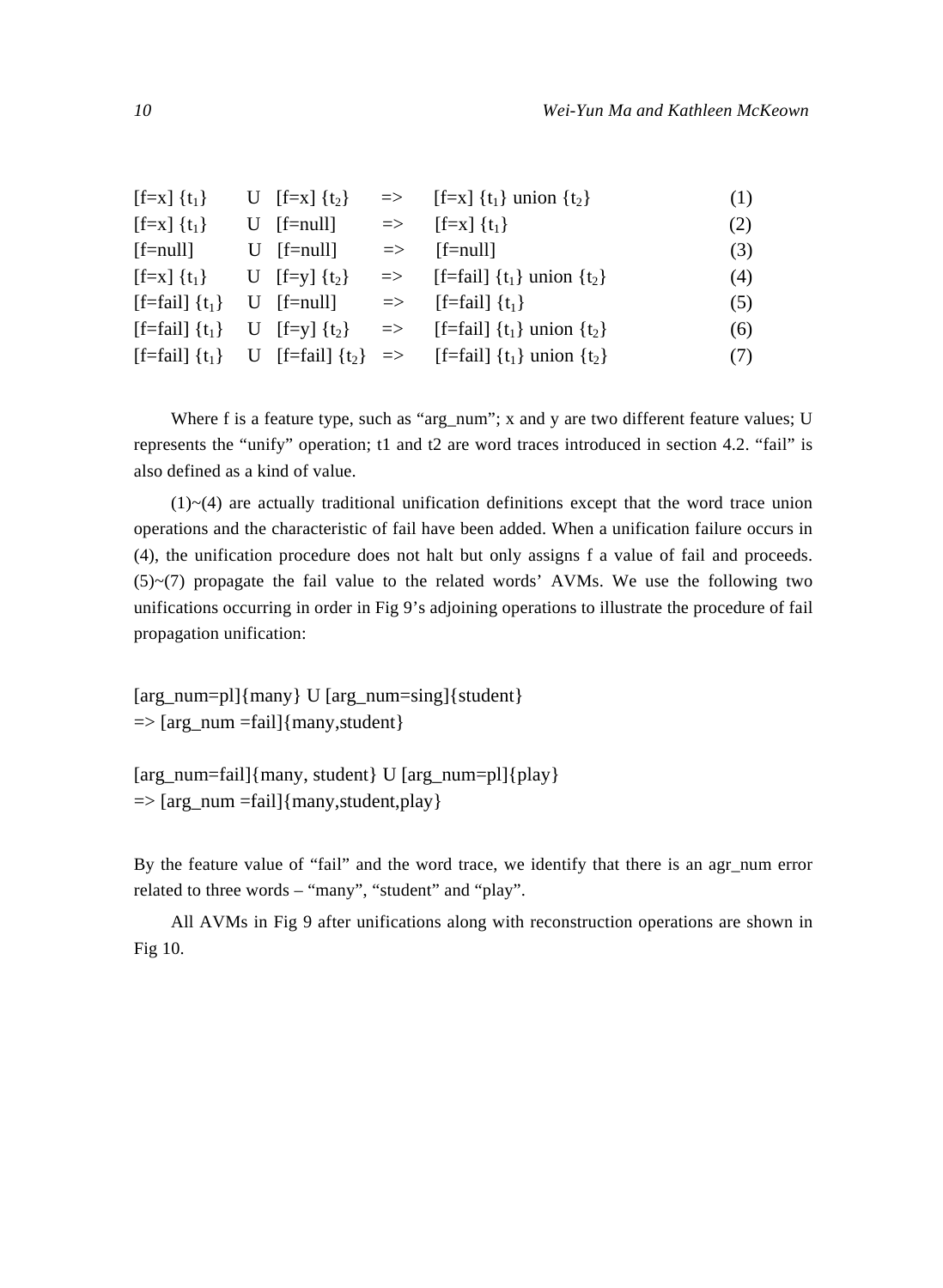| $[f=x] \{t_1\}$              | U $[f=x] \{t_2\}$ |               | $\Rightarrow$ [f=x] {t <sub>1</sub> } union {t <sub>2</sub> }                                                 | (1) |
|------------------------------|-------------------|---------------|---------------------------------------------------------------------------------------------------------------|-----|
| $[f=x] \{t_1\}$              | $U$ [f=null]      | $\Rightarrow$ | $[f=x] \{t_1\}$                                                                                               | (2) |
| $[$ f=null $]$               | $U$ [f=null]      |               | $\Rightarrow$ [f=null]                                                                                        | (3) |
| $[f=x] \{t_1\}$              | U [f=y] $\{t_2\}$ |               | $\Rightarrow$ [f=fail] {t <sub>1</sub> } union {t <sub>2</sub> }                                              | (4) |
| $[f=fail] \{t_1\}$           | $U$ [f=null]      |               | $\Rightarrow$ [f=fail] {t <sub>1</sub> }                                                                      | (5) |
| $[f=fail]$ {t <sub>1</sub> } | U [f=y] $\{t_2\}$ |               | $\Rightarrow$ [f=fail] {t <sub>1</sub> } union {t <sub>2</sub> }                                              | (6) |
|                              |                   |               | [f=fail] {t <sub>1</sub> } U [f=fail] {t <sub>2</sub> } => [f=fail] {t <sub>1</sub> } union {t <sub>2</sub> } | (7) |

Where f is a feature type, such as "arg\_num"; x and y are two different feature values; U represents the "unify" operation; t1 and t2 are word traces introduced in section 4.2. "fail" is also defined as a kind of value.

 $(1)$   $\sim$  (4) are actually traditional unification definitions except that the word trace union operations and the characteristic of fail have been added. When a unification failure occurs in (4), the unification procedure does not halt but only assigns f a value of fail and proceeds.  $(5)$   $\sim$   $(7)$  propagate the fail value to the related words' AVMs. We use the following two unifications occurring in order in Fig 9's adjoining operations to illustrate the procedure of fail propagation unification:

[arg\_num=pl]{many} U [arg\_num=sing]{student}  $\Rightarrow$  [arg\_num =fail]{many, student}

[arg\_num=fail]{many, student} U [arg\_num=pl]{play}  $\Rightarrow$  [arg\_num =fail]{many, student, play}

By the feature value of "fail" and the word trace, we identify that there is an agr num error related to three words – "many", "student" and "play".

All AVMs in Fig 9 after unifications along with reconstruction operations are shown in Fig 10.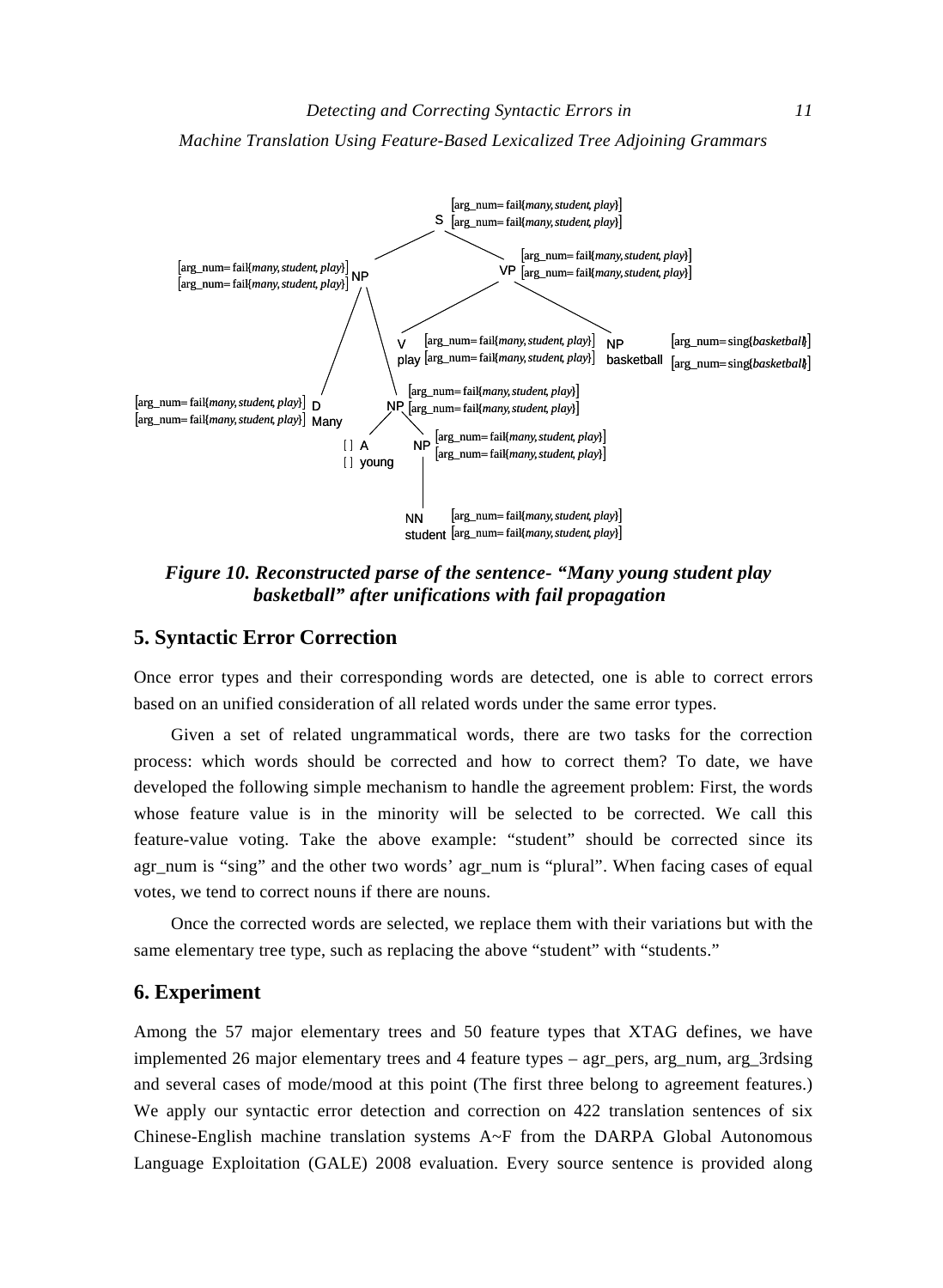*Machine Translation Using Feature-Based Lexicalized Tree Adjoining Grammars* 



*Figure 10. Reconstructed parse of the sentence- "Many young student play basketball" after unifications with fail propagation* 

## **5. Syntactic Error Correction**

Once error types and their corresponding words are detected, one is able to correct errors based on an unified consideration of all related words under the same error types.

Given a set of related ungrammatical words, there are two tasks for the correction process: which words should be corrected and how to correct them? To date, we have developed the following simple mechanism to handle the agreement problem: First, the words whose feature value is in the minority will be selected to be corrected. We call this feature-value voting. Take the above example: "student" should be corrected since its agr\_num is "sing" and the other two words' agr\_num is "plural". When facing cases of equal votes, we tend to correct nouns if there are nouns.

Once the corrected words are selected, we replace them with their variations but with the same elementary tree type, such as replacing the above "student" with "students."

#### **6. Experiment**

Among the 57 major elementary trees and 50 feature types that XTAG defines, we have implemented 26 major elementary trees and 4 feature types – agr\_pers, arg\_num, arg\_3rdsing and several cases of mode/mood at this point (The first three belong to agreement features.) We apply our syntactic error detection and correction on 422 translation sentences of six Chinese-English machine translation systems A~F from the DARPA Global Autonomous Language Exploitation (GALE) 2008 evaluation. Every source sentence is provided along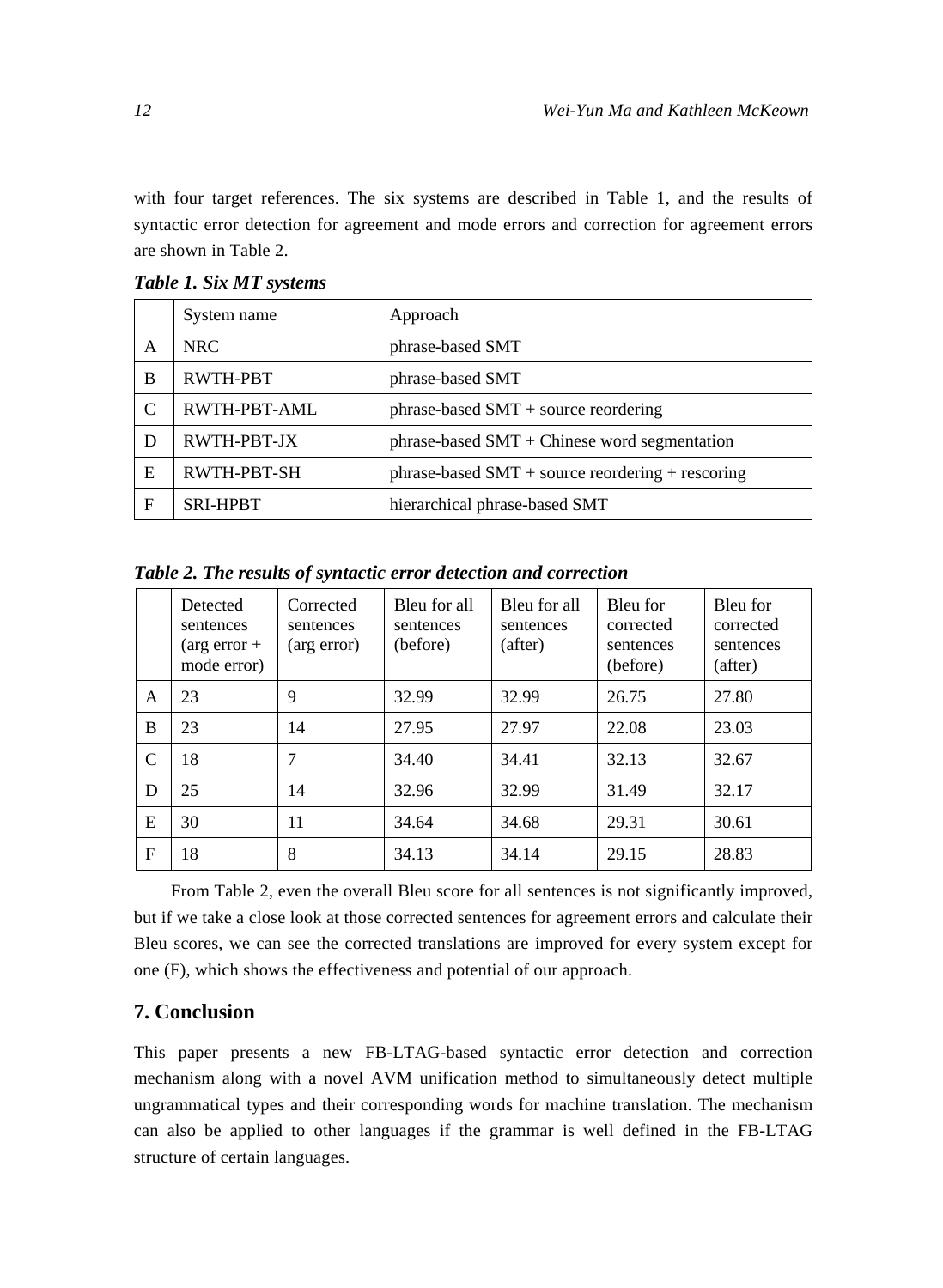with four target references. The six systems are described in Table 1, and the results of syntactic error detection for agreement and mode errors and correction for agreement errors are shown in Table 2.

|   | System name     | Approach                                           |
|---|-----------------|----------------------------------------------------|
| A | <b>NRC</b>      | phrase-based SMT                                   |
| B | RWTH-PBT        | phrase-based SMT                                   |
| C | RWTH-PBT-AML    | $phrase-based SMT + source reordering$             |
| D | RWTH-PBT-JX     | $phrase-based SMT + Chinese word segmentation$     |
| E | RWTH-PBT-SH     | $phrase-based SMT + source reordering + rescoring$ |
| F | <b>SRI-HPBT</b> | hierarchical phrase-based SMT                      |

*Table 1. Six MT systems* 

*Table 2. The results of syntactic error detection and correction* 

|              | Detected<br>sentences<br>$(\arg error +$<br>mode error) | Corrected<br>sentences<br>(arg error) | Bleu for all<br>sentences<br>(before) | Bleu for all<br>sentences<br>(after) | Bleu for<br>corrected<br>sentences<br>(before) | Bleu for<br>corrected<br>sentences<br>(after) |
|--------------|---------------------------------------------------------|---------------------------------------|---------------------------------------|--------------------------------------|------------------------------------------------|-----------------------------------------------|
| A            | 23                                                      | 9                                     | 32.99                                 | 32.99                                | 26.75                                          | 27.80                                         |
| B            | 23                                                      | 14                                    | 27.95                                 | 27.97                                | 22.08                                          | 23.03                                         |
| C            | 18                                                      | 7                                     | 34.40                                 | 34.41                                | 32.13                                          | 32.67                                         |
| D            | 25                                                      | 14                                    | 32.96                                 | 32.99                                | 31.49                                          | 32.17                                         |
| E            | 30                                                      | 11                                    | 34.64                                 | 34.68                                | 29.31                                          | 30.61                                         |
| $\mathbf{F}$ | 18                                                      | 8                                     | 34.13                                 | 34.14                                | 29.15                                          | 28.83                                         |

From Table 2, even the overall Bleu score for all sentences is not significantly improved, but if we take a close look at those corrected sentences for agreement errors and calculate their Bleu scores, we can see the corrected translations are improved for every system except for one (F), which shows the effectiveness and potential of our approach.

# **7. Conclusion**

This paper presents a new FB-LTAG-based syntactic error detection and correction mechanism along with a novel AVM unification method to simultaneously detect multiple ungrammatical types and their corresponding words for machine translation. The mechanism can also be applied to other languages if the grammar is well defined in the FB-LTAG structure of certain languages.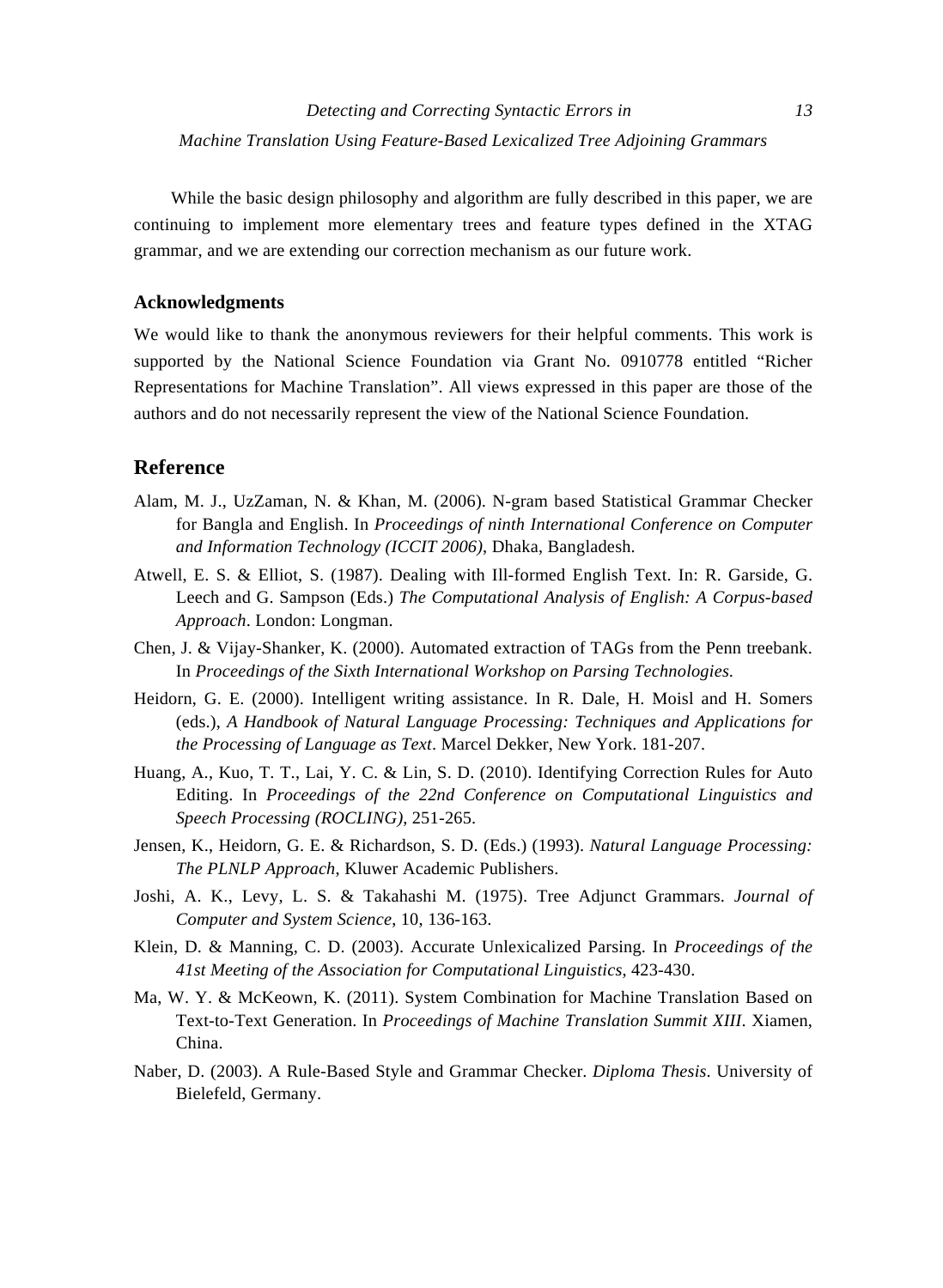While the basic design philosophy and algorithm are fully described in this paper, we are continuing to implement more elementary trees and feature types defined in the XTAG grammar, and we are extending our correction mechanism as our future work.

#### **Acknowledgments**

We would like to thank the anonymous reviewers for their helpful comments. This work is supported by the National Science Foundation via Grant No. 0910778 entitled "Richer Representations for Machine Translation". All views expressed in this paper are those of the authors and do not necessarily represent the view of the National Science Foundation.

## **Reference**

- Alam, M. J., UzZaman, N. & Khan, M. (2006). N-gram based Statistical Grammar Checker for Bangla and English. In *Proceedings of ninth International Conference on Computer and Information Technology (ICCIT 2006)*, Dhaka, Bangladesh.
- Atwell, E. S. & Elliot, S. (1987). Dealing with Ill-formed English Text. In: R. Garside, G. Leech and G. Sampson (Eds.) *The Computational Analysis of English: A Corpus-based Approach*. London: Longman.
- Chen, J. & Vijay-Shanker, K. (2000). Automated extraction of TAGs from the Penn treebank. In *Proceedings of the Sixth International Workshop on Parsing Technologies*.
- Heidorn, G. E. (2000). Intelligent writing assistance. In R. Dale, H. Moisl and H. Somers (eds.), *A Handbook of Natural Language Processing: Techniques and Applications for the Processing of Language as Text*. Marcel Dekker, New York. 181-207.
- Huang, A., Kuo, T. T., Lai, Y. C. & Lin, S. D. (2010). Identifying Correction Rules for Auto Editing. In *Proceedings of the 22nd Conference on Computational Linguistics and Speech Processing (ROCLING)*, 251-265.
- Jensen, K., Heidorn, G. E. & Richardson, S. D. (Eds.) (1993). *Natural Language Processing: The PLNLP Approach*, Kluwer Academic Publishers.
- Joshi, A. K., Levy, L. S. & Takahashi M. (1975). Tree Adjunct Grammars. *Journal of Computer and System Science*, 10, 136-163.
- Klein, D. & Manning, C. D. (2003). Accurate Unlexicalized Parsing. In *Proceedings of the 41st Meeting of the Association for Computational Linguistics*, 423-430.
- Ma, W. Y. & McKeown, K. (2011). System Combination for Machine Translation Based on Text-to-Text Generation. In *Proceedings of Machine Translation Summit XIII*. Xiamen, China.
- Naber, D. (2003). A Rule-Based Style and Grammar Checker. *Diploma Thesis*. University of Bielefeld, Germany.